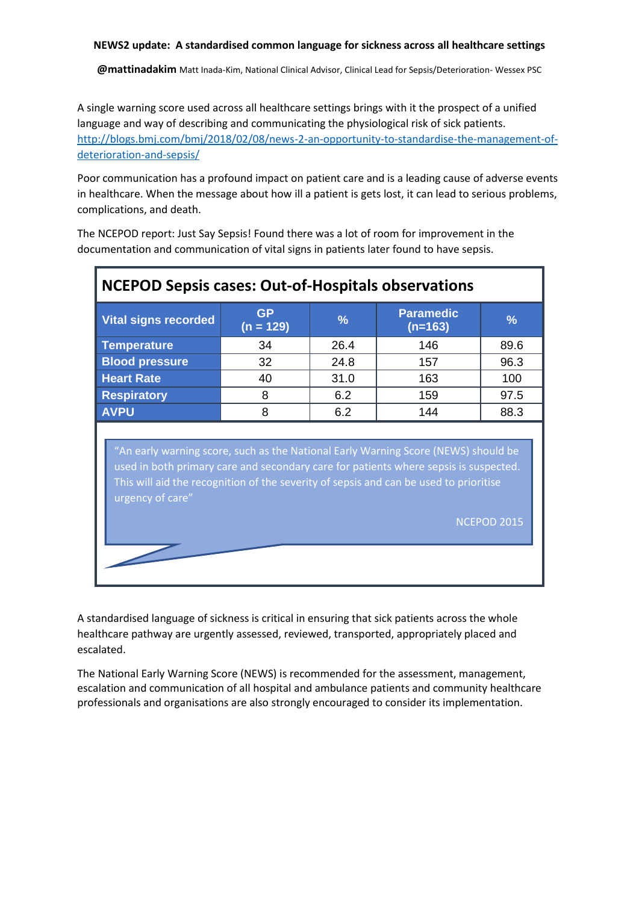**@mattinadakim** Matt Inada-Kim, National Clinical Advisor, Clinical Lead for Sepsis/Deterioration- Wessex PSC

A single warning score used across all healthcare settings brings with it the prospect of a unified language and way of describing and communicating the physiological risk of sick patients. [http://blogs.bmj.com/bmj/2018/02/08/news-2-an-opportunity-to-standardise-the-management-of](http://blogs.bmj.com/bmj/2018/02/08/news-2-an-opportunity-to-standardise-the-management-of-deterioration-and-sepsis/)[deterioration-and-sepsis/](http://blogs.bmj.com/bmj/2018/02/08/news-2-an-opportunity-to-standardise-the-management-of-deterioration-and-sepsis/)

Poor communication has a profound impact on patient care and is a leading cause of adverse events in healthcare. When the message about how ill a patient is gets lost, it can lead to serious problems, complications, and death.

The NCEPOD report: Just Say Sepsis! Found there was a lot of room for improvement in the documentation and communication of vital signs in patients later found to have sepsis.

| <b>NCEPOD Sepsis cases: Out-of-Hospitals observations</b>                                                                                                                                                                                                                                                     |                          |               |                               |      |  |  |  |  |  |  |
|---------------------------------------------------------------------------------------------------------------------------------------------------------------------------------------------------------------------------------------------------------------------------------------------------------------|--------------------------|---------------|-------------------------------|------|--|--|--|--|--|--|
| <b>Vital signs recorded</b>                                                                                                                                                                                                                                                                                   | <b>GP</b><br>$(n = 129)$ | $\frac{9}{6}$ | <b>Paramedic</b><br>$(n=163)$ | %    |  |  |  |  |  |  |
| <b>Temperature</b>                                                                                                                                                                                                                                                                                            | 34                       | 26.4          | 146                           | 89.6 |  |  |  |  |  |  |
| <b>Blood pressure</b>                                                                                                                                                                                                                                                                                         | 32                       | 24.8          | 157                           | 96.3 |  |  |  |  |  |  |
| <b>Heart Rate</b>                                                                                                                                                                                                                                                                                             | 40                       | 31.0          | 163                           | 100  |  |  |  |  |  |  |
| <b>Respiratory</b>                                                                                                                                                                                                                                                                                            | 8                        | 6.2           | 159                           | 97.5 |  |  |  |  |  |  |
| <b>AVPU</b>                                                                                                                                                                                                                                                                                                   | 8                        | 6.2           | 144                           | 88.3 |  |  |  |  |  |  |
| "An early warning score, such as the National Early Warning Score (NEWS) should be<br>used in both primary care and secondary care for patients where sepsis is suspected.<br>This will aid the recognition of the severity of sepsis and can be used to prioritise<br>urgency of care"<br><b>NCEPOD 2015</b> |                          |               |                               |      |  |  |  |  |  |  |

A standardised language of sickness is critical in ensuring that sick patients across the whole healthcare pathway are urgently assessed, reviewed, transported, appropriately placed and escalated.

The National Early Warning Score (NEWS) is recommended for the assessment, management, escalation and communication of all hospital and ambulance patients and community healthcare professionals and organisations are also strongly encouraged to consider its implementation.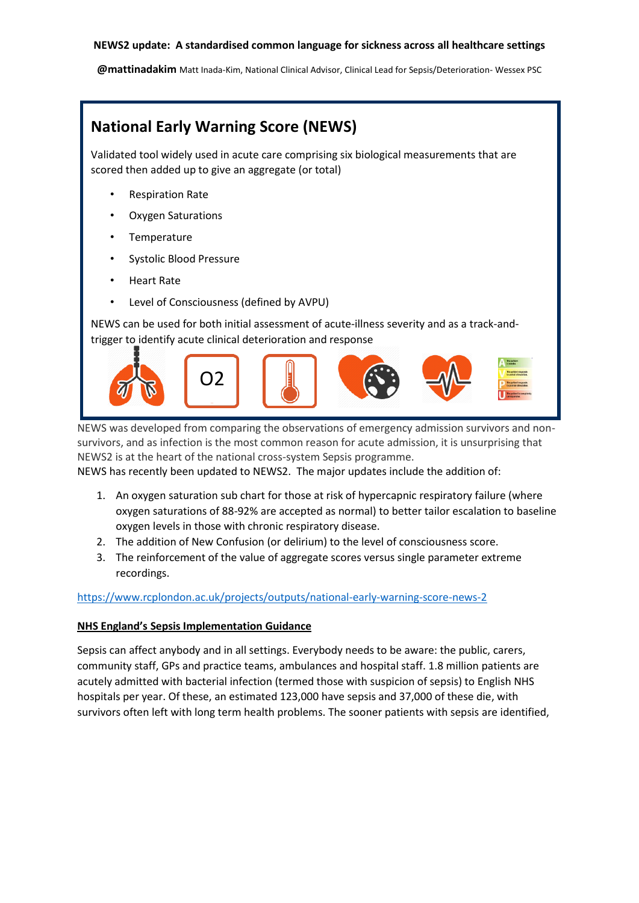**@mattinadakim** Matt Inada-Kim, National Clinical Advisor, Clinical Lead for Sepsis/Deterioration- Wessex PSC

# **National Early Warning Score (NEWS)**

Validated tool widely used in acute care comprising six biological measurements that are scored then added up to give an aggregate (or total)

- Respiration Rate
- Oxygen Saturations
- **Temperature**
- Systolic Blood Pressure
- Heart Rate
- Level of Consciousness (defined by AVPU)

NEWS can be used for both initial assessment of acute-illness severity and as a track-andtrigger to identify acute clinical deterioration and response



NEWS was developed from comparing the observations of emergency admission survivors and nonsurvivors, and as infection is the most common reason for acute admission, it is unsurprising that NEWS2 is at the heart of the national cross-system Sepsis programme.

NEWS has recently been updated to NEWS2. The major updates include the addition of:

- 1. An oxygen saturation sub chart for those at risk of hypercapnic respiratory failure (where oxygen saturations of 88-92% are accepted as normal) to better tailor escalation to baseline oxygen levels in those with chronic respiratory disease.
- 2. The addition of New Confusion (or delirium) to the level of consciousness score.
- 3. The reinforcement of the value of aggregate scores versus single parameter extreme recordings.

# <https://www.rcplondon.ac.uk/projects/outputs/national-early-warning-score-news-2>

#### **NHS England's Sepsis Implementation Guidance**

Sepsis can affect anybody and in all settings. Everybody needs to be aware: the public, carers, community staff, GPs and practice teams, ambulances and hospital staff. 1.8 million patients are acutely admitted with bacterial infection (termed those with suspicion of sepsis) to English NHS hospitals per year. Of these, an estimated 123,000 have sepsis and 37,000 of these die, with survivors often left with long term health problems. The sooner patients with sepsis are identified,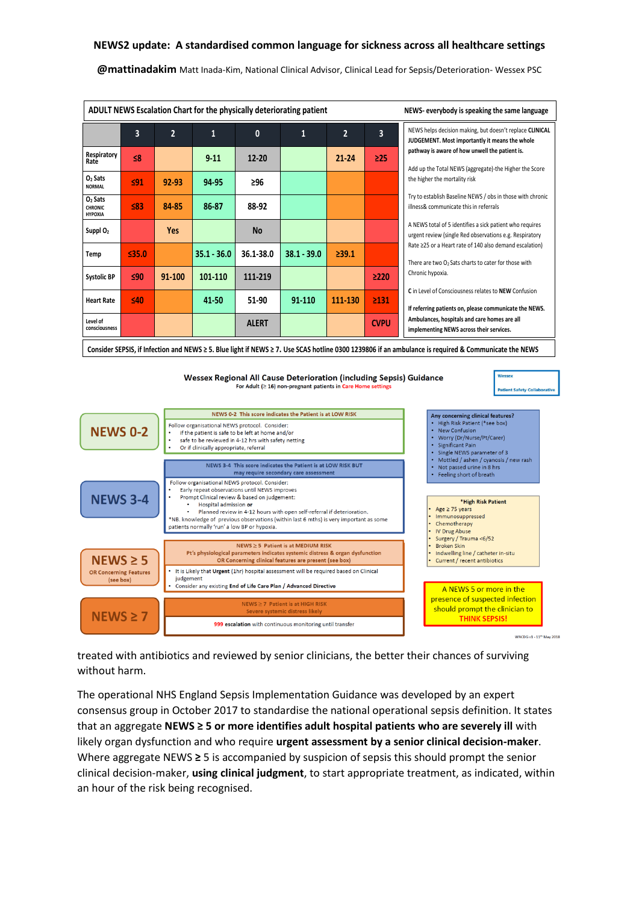**@mattinadakim** Matt Inada-Kim, National Clinical Advisor, Clinical Lead for Sepsis/Deterioration- Wessex PSC

| ADULT NEWS Escalation Chart for the physically deteriorating patient<br>NEWS-everybody is speaking the same language                                                                                                                                                                        |                                                                                                                                                                                                                                                                                                                                                                                              |                |                                                                                                                                                                                                                                                                                                                                                                                                                                                                              |                                                                                                                                 |                                                                                                                      |                                                                                                        |             |                                                                                                                                                                                                                                                                                                                                                                                                                                                                                                                                                                                                                                                                                                                                                                                                                                             |  |  |
|---------------------------------------------------------------------------------------------------------------------------------------------------------------------------------------------------------------------------------------------------------------------------------------------|----------------------------------------------------------------------------------------------------------------------------------------------------------------------------------------------------------------------------------------------------------------------------------------------------------------------------------------------------------------------------------------------|----------------|------------------------------------------------------------------------------------------------------------------------------------------------------------------------------------------------------------------------------------------------------------------------------------------------------------------------------------------------------------------------------------------------------------------------------------------------------------------------------|---------------------------------------------------------------------------------------------------------------------------------|----------------------------------------------------------------------------------------------------------------------|--------------------------------------------------------------------------------------------------------|-------------|---------------------------------------------------------------------------------------------------------------------------------------------------------------------------------------------------------------------------------------------------------------------------------------------------------------------------------------------------------------------------------------------------------------------------------------------------------------------------------------------------------------------------------------------------------------------------------------------------------------------------------------------------------------------------------------------------------------------------------------------------------------------------------------------------------------------------------------------|--|--|
|                                                                                                                                                                                                                                                                                             | 3                                                                                                                                                                                                                                                                                                                                                                                            | $\overline{2}$ | $\mathbf{1}$                                                                                                                                                                                                                                                                                                                                                                                                                                                                 | $\mathbf{0}$                                                                                                                    | $\mathbf{1}$                                                                                                         | $\overline{2}$                                                                                         | 3           | NEWS helps decision making, but doesn't replace CLINICAL<br>JUDGEMENT. Most importantly it means the whole<br>pathway is aware of how unwell the patient is.<br>Add up the Total NEWS (aggregate)-the Higher the Score<br>the higher the mortality risk<br>Try to establish Baseline NEWS / obs in those with chronic<br>illness& communicate this in referrals<br>A NEWS total of 5 identifies a sick patient who requires<br>urgent review (single Red observations e.g. Respiratory<br>Rate ≥25 or a Heart rate of 140 also demand escalation)<br>There are two O2 Sats charts to cater for those with<br>Chronic hypoxia.<br>C in Level of Consciousness relates to NEW Confusion<br>If referring patients on, please communicate the NEWS.<br>Ambulances, hospitals and care homes are all<br>implementing NEWS across their services. |  |  |
| Respiratory<br>Rate                                                                                                                                                                                                                                                                         | ≤8                                                                                                                                                                                                                                                                                                                                                                                           |                | $9 - 11$                                                                                                                                                                                                                                                                                                                                                                                                                                                                     | $12 - 20$                                                                                                                       |                                                                                                                      | $21 - 24$                                                                                              | $\geq$ 25   |                                                                                                                                                                                                                                                                                                                                                                                                                                                                                                                                                                                                                                                                                                                                                                                                                                             |  |  |
| O <sub>2</sub> Sats<br><b>NORMAL</b>                                                                                                                                                                                                                                                        | 591                                                                                                                                                                                                                                                                                                                                                                                          | 92-93          | 94-95                                                                                                                                                                                                                                                                                                                                                                                                                                                                        | 296                                                                                                                             |                                                                                                                      |                                                                                                        |             |                                                                                                                                                                                                                                                                                                                                                                                                                                                                                                                                                                                                                                                                                                                                                                                                                                             |  |  |
| O <sub>2</sub> Sats<br><b>CHRONIC</b><br>HYPOXIA                                                                                                                                                                                                                                            | $83$                                                                                                                                                                                                                                                                                                                                                                                         | 84-85          | 86-87                                                                                                                                                                                                                                                                                                                                                                                                                                                                        | 88-92                                                                                                                           |                                                                                                                      |                                                                                                        |             |                                                                                                                                                                                                                                                                                                                                                                                                                                                                                                                                                                                                                                                                                                                                                                                                                                             |  |  |
| Suppl O <sub>2</sub>                                                                                                                                                                                                                                                                        |                                                                                                                                                                                                                                                                                                                                                                                              | <b>Yes</b>     |                                                                                                                                                                                                                                                                                                                                                                                                                                                                              | <b>No</b>                                                                                                                       |                                                                                                                      |                                                                                                        |             |                                                                                                                                                                                                                                                                                                                                                                                                                                                                                                                                                                                                                                                                                                                                                                                                                                             |  |  |
| Temp                                                                                                                                                                                                                                                                                        | 535.0                                                                                                                                                                                                                                                                                                                                                                                        |                | $35.1 - 36.0$                                                                                                                                                                                                                                                                                                                                                                                                                                                                | 36.1-38.0                                                                                                                       | $38.1 - 39.0$                                                                                                        | 239.1                                                                                                  |             |                                                                                                                                                                                                                                                                                                                                                                                                                                                                                                                                                                                                                                                                                                                                                                                                                                             |  |  |
| <b>Systolic BP</b>                                                                                                                                                                                                                                                                          | 590                                                                                                                                                                                                                                                                                                                                                                                          | 91-100         | 101-110                                                                                                                                                                                                                                                                                                                                                                                                                                                                      | 111-219                                                                                                                         |                                                                                                                      |                                                                                                        | $\geq$ 220  |                                                                                                                                                                                                                                                                                                                                                                                                                                                                                                                                                                                                                                                                                                                                                                                                                                             |  |  |
| <b>Heart Rate</b>                                                                                                                                                                                                                                                                           | 540                                                                                                                                                                                                                                                                                                                                                                                          |                | 41-50                                                                                                                                                                                                                                                                                                                                                                                                                                                                        | 51-90                                                                                                                           | 91-110                                                                                                               | 111-130                                                                                                | 2131        |                                                                                                                                                                                                                                                                                                                                                                                                                                                                                                                                                                                                                                                                                                                                                                                                                                             |  |  |
| Level of<br>consciousness                                                                                                                                                                                                                                                                   |                                                                                                                                                                                                                                                                                                                                                                                              |                |                                                                                                                                                                                                                                                                                                                                                                                                                                                                              | <b>ALERT</b>                                                                                                                    |                                                                                                                      |                                                                                                        | <b>CVPU</b> |                                                                                                                                                                                                                                                                                                                                                                                                                                                                                                                                                                                                                                                                                                                                                                                                                                             |  |  |
| Consider SEPSIS, if Infection and NEWS ≥ 5. Blue light if NEWS ≥ 7. Use SCAS hotline 0300 1239806 if an ambulance is required & Communicate the NEWS                                                                                                                                        |                                                                                                                                                                                                                                                                                                                                                                                              |                |                                                                                                                                                                                                                                                                                                                                                                                                                                                                              |                                                                                                                                 |                                                                                                                      |                                                                                                        |             |                                                                                                                                                                                                                                                                                                                                                                                                                                                                                                                                                                                                                                                                                                                                                                                                                                             |  |  |
| Wessex<br>Wessex Regional All Cause Deterioration (including Sepsis) Guidance<br>For Adult $( \geq 16)$ non-pregnant patients in Care Home settings<br><b>Patient Safety Collaborative</b><br>NEWS 0-2 This score indicates the Patient is at LOW RISK<br>Any concerning clinical features? |                                                                                                                                                                                                                                                                                                                                                                                              |                |                                                                                                                                                                                                                                                                                                                                                                                                                                                                              |                                                                                                                                 |                                                                                                                      |                                                                                                        |             |                                                                                                                                                                                                                                                                                                                                                                                                                                                                                                                                                                                                                                                                                                                                                                                                                                             |  |  |
| Follow organisational NEWS protocol. Consider:<br><b>NEWS 0-2</b><br>if the patient is safe to be left at home and/or<br>safe to be reviewed in 4-12 hrs with safety netting<br>Or if clinically appropriate, referral                                                                      |                                                                                                                                                                                                                                                                                                                                                                                              |                |                                                                                                                                                                                                                                                                                                                                                                                                                                                                              |                                                                                                                                 |                                                                                                                      | • High Risk Patient (*see box)<br>• New Confusion<br>• Worry (Dr/Nurse/Pt/Carer)<br>• Significant Pain |             |                                                                                                                                                                                                                                                                                                                                                                                                                                                                                                                                                                                                                                                                                                                                                                                                                                             |  |  |
|                                                                                                                                                                                                                                                                                             |                                                                                                                                                                                                                                                                                                                                                                                              |                | · Single NEWS parameter of 3<br>• Mottled / ashen / cyanosis / new rash<br>• Not passed urine in 8 hrs<br>Feeling short of breath                                                                                                                                                                                                                                                                                                                                            |                                                                                                                                 |                                                                                                                      |                                                                                                        |             |                                                                                                                                                                                                                                                                                                                                                                                                                                                                                                                                                                                                                                                                                                                                                                                                                                             |  |  |
| <b>NEWS 3-4</b>                                                                                                                                                                                                                                                                             | Follow organisational NEWS protocol. Consider:<br>Early repeat observations until NEWS improves<br>Prompt Clinical review & based on judgement:<br>Hospital admission or<br>Planned review in 4-12 hours with open self-referral if deterioration.<br>*NB. knowledge of previous observations (within last 6 mths) is very important as some<br>patients normally 'run' a low BP or hypoxia. |                |                                                                                                                                                                                                                                                                                                                                                                                                                                                                              |                                                                                                                                 |                                                                                                                      |                                                                                                        |             | *High Risk Patient<br>Age $\geq$ 75 years<br>Immunosuppressed<br>Chemotherapy<br><b>IV Drug Abuse</b>                                                                                                                                                                                                                                                                                                                                                                                                                                                                                                                                                                                                                                                                                                                                       |  |  |
| $NEWS \geq 5$<br><b>OR Concerning Features</b><br>(see box)                                                                                                                                                                                                                                 |                                                                                                                                                                                                                                                                                                                                                                                              |                | Surgery / Trauma <6/52<br>NEWS ≥ 5 Patient is at MEDIUM RISK<br><b>Broken Skin</b><br>Pt's physiological parameters indicates systemic distress & organ dysfunction<br>Indwelling line / catheter in-situ<br>OR Concerning clinical features are present (see box)<br>Current / recent antibiotics<br>It is Likely that Urgent (1hr) hospital assessment will be required based on Clinical<br>judgement<br>Consider any existing End of Life Care Plan / Advanced Directive |                                                                                                                                 |                                                                                                                      |                                                                                                        |             |                                                                                                                                                                                                                                                                                                                                                                                                                                                                                                                                                                                                                                                                                                                                                                                                                                             |  |  |
| $NEWS \geq 7$                                                                                                                                                                                                                                                                               |                                                                                                                                                                                                                                                                                                                                                                                              |                |                                                                                                                                                                                                                                                                                                                                                                                                                                                                              | NEWS ≥ 7 Patient is at HIGH RISK<br>Severe systemic distress likely<br>999 escalation with continuous monitoring until transfer | A NEWS 5 or more in the<br>presence of suspected infection<br>should prompt the clinician to<br><b>THINK SEPSIS!</b> |                                                                                                        |             |                                                                                                                                                                                                                                                                                                                                                                                                                                                                                                                                                                                                                                                                                                                                                                                                                                             |  |  |

WACDG v1 - 11<sup>th</sup> May 2018

treated with antibiotics and reviewed by senior clinicians, the better their chances of surviving without harm.

The operational NHS England Sepsis Implementation Guidance was developed by an expert consensus group in October 2017 to standardise the national operational sepsis definition. It states that an aggregate **NEWS ≥ 5 or more identifies adult hospital patients who are severely ill** with likely organ dysfunction and who require **urgent assessment by a senior clinical decision-maker**. Where aggregate NEWS **≥** 5 is accompanied by suspicion of sepsis this should prompt the senior clinical decision-maker, **using clinical judgment**, to start appropriate treatment, as indicated, within an hour of the risk being recognised.